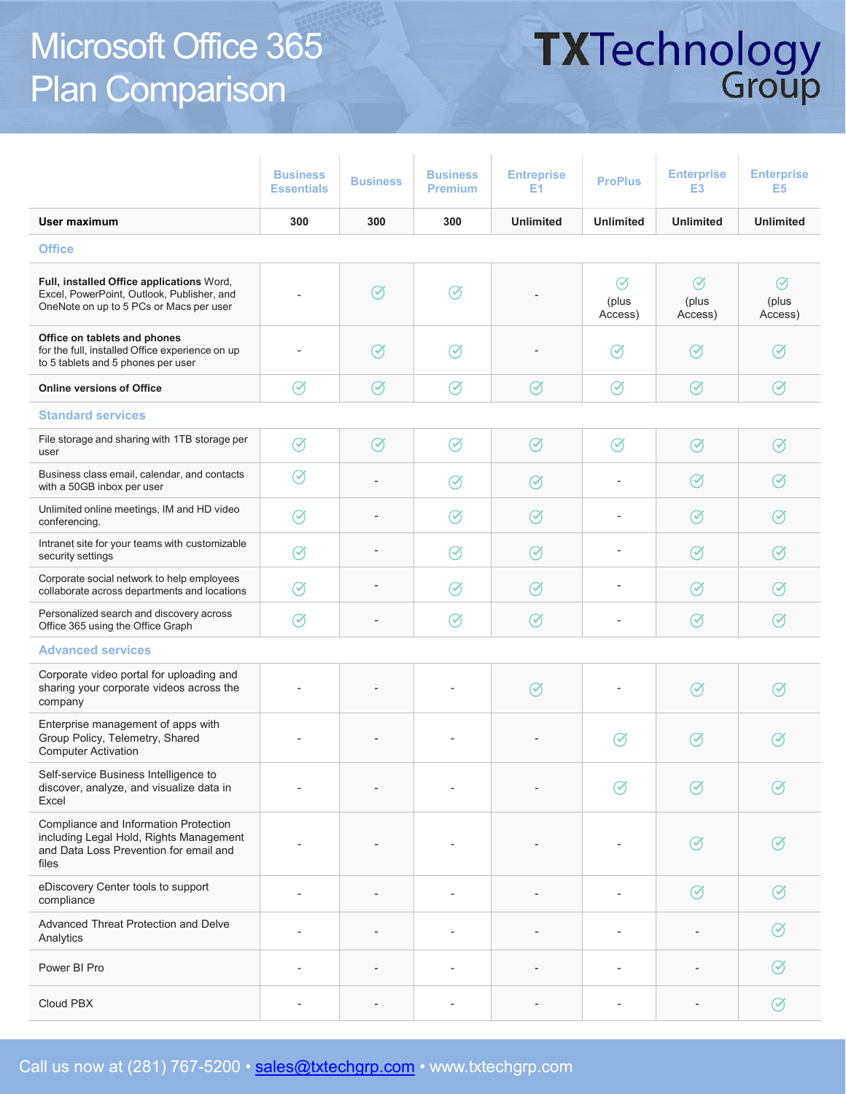### Microsoft Office 365 Plan Comparison

# **TXTechnology**<br>Group

|                                                                                                                                     | <b>Business</b><br><b>Essentials</b> | <b>Business</b> | <b>Business</b><br><b>Premium</b> | <b>Entreprise</b><br>E1 | <b>ProPlus</b>                | <b>Enterprise</b><br>E <sub>3</sub> | <b>Enterprise</b><br>E <sub>5</sub> |  |
|-------------------------------------------------------------------------------------------------------------------------------------|--------------------------------------|-----------------|-----------------------------------|-------------------------|-------------------------------|-------------------------------------|-------------------------------------|--|
| User maximum                                                                                                                        | 300                                  | 300             | 300                               | <b>Unlimited</b>        | <b>Unlimited</b>              | <b>Unlimited</b>                    | <b>Unlimited</b>                    |  |
| <b>Office</b>                                                                                                                       |                                      |                 |                                   |                         |                               |                                     |                                     |  |
| Full, installed Office applications Word,<br>Excel, PowerPoint, Outlook, Publisher, and<br>OneNote on up to 5 PCs or Macs per user  |                                      | $\oslash$       | $\oslash$                         |                         | $\oslash$<br>(plus<br>Access) | Ø<br>(plus<br>Access)               | $\circledcirc$<br>(plus<br>Access)  |  |
| Office on tablets and phones<br>for the full, installed Office experience on up<br>to 5 tablets and 5 phones per user               |                                      | $\oslash$       | $\oslash$                         |                         | $\oslash$                     | $\oslash$                           | $(\checkmark)$                      |  |
| <b>Online versions of Office</b>                                                                                                    | Ø                                    | $\oslash$       | $\oslash$                         | $\oslash$               | $\varnothing$                 | $\oslash$                           | $\oslash$                           |  |
| <b>Standard services</b>                                                                                                            |                                      |                 |                                   |                         |                               |                                     |                                     |  |
| File storage and sharing with 1TB storage per<br>user                                                                               | $\oslash$                            | $\oslash$       | $\oslash$                         | $\oslash$               | $\oslash$                     | $\oslash$                           | $\oslash$                           |  |
| Business class email, calendar, and contacts<br>with a 50GB inbox per user                                                          | Ø                                    |                 | Ø                                 | $\oslash$               |                               | $\oslash$                           | $\Im$                               |  |
| Unlimited online meetings, IM and HD video<br>conferencing.                                                                         | $\oslash$                            | ÷               | $\oslash$                         | $\oslash$               |                               | $\oslash$                           | $\oslash$                           |  |
| Intranet site for your teams with customizable<br>security settings                                                                 | $\oslash$                            |                 | $\oslash$                         | $\oslash$               |                               | $\oslash$                           | $\oslash$                           |  |
| Corporate social network to help employees<br>collaborate across departments and locations                                          | $\oslash$                            |                 | $\oslash$                         | $\oslash$               | ٠                             | $\oslash$                           | $\oslash$                           |  |
| Personalized search and discovery across<br>Office 365 using the Office Graph                                                       | $\oslash$                            |                 | $\oslash$                         | $\oslash$               |                               | $\oslash$                           | $\oslash$                           |  |
| <b>Advanced services</b>                                                                                                            |                                      |                 |                                   |                         |                               |                                     |                                     |  |
| Corporate video portal for uploading and<br>sharing your corporate videos across the<br>company                                     |                                      |                 |                                   | $\oslash$               |                               | $\oslash$                           | $\oslash$                           |  |
| Enterprise management of apps with<br>Group Policy, Telemetry, Shared<br><b>Computer Activation</b>                                 |                                      |                 |                                   |                         | $\oslash$                     | $\oslash$                           | Ø                                   |  |
| Self-service Business Intelligence to<br>discover, analyze, and visualize data in<br>Excel                                          |                                      |                 |                                   |                         | Ø                             | $\oslash$                           | $\oslash$                           |  |
| Compliance and Information Protection<br>including Legal Hold, Rights Management<br>and Data Loss Prevention for email and<br>files |                                      |                 |                                   |                         |                               | $\oslash$                           |                                     |  |
| eDiscovery Center tools to support<br>compliance                                                                                    |                                      |                 |                                   |                         |                               | $\emptyset$                         | $\left(\swarrowright)$              |  |
| Advanced Threat Protection and Delve<br>Analytics                                                                                   |                                      |                 |                                   |                         |                               |                                     | $(\checkmark)$                      |  |
| Power BI Pro                                                                                                                        |                                      |                 |                                   |                         |                               |                                     | $\left(\checkmark\right)$           |  |
| Cloud PBX                                                                                                                           |                                      |                 | $\overline{\phantom{a}}$          |                         | $\overline{a}$                |                                     | Ø                                   |  |